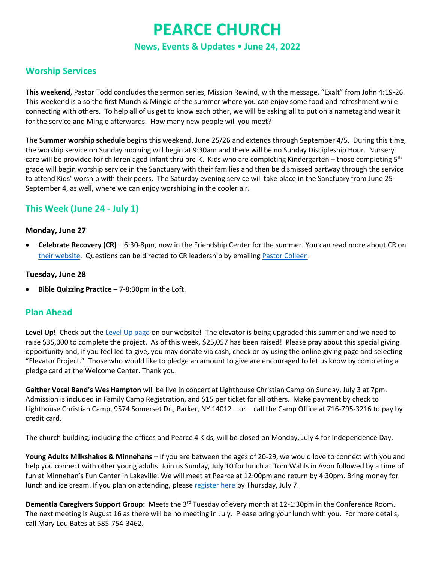# **PEARCE CHURCH News, Events & Updates June 24, 2022**

## **Worship Services**

**This weekend**, Pastor Todd concludes the sermon series, Mission Rewind, with the message, "Exalt" from John 4:19-26. This weekend is also the first Munch & Mingle of the summer where you can enjoy some food and refreshment while connecting with others. To help all of us get to know each other, we will be asking all to put on a nametag and wear it for the service and Mingle afterwards. How many new people will you meet?

The **Summer worship schedule** begins this weekend, June 25/26 and extends through September 4/5. During this time, the worship service on Sunday morning will begin at 9:30am and there will be no Sunday Discipleship Hour. Nursery care will be provided for children aged infant thru pre-K. Kids who are completing Kindergarten – those completing  $5<sup>th</sup>$ grade will begin worship service in the Sanctuary with their families and then be dismissed partway through the service to attend Kids' worship with their peers. The Saturday evening service will take place in the Sanctuary from June 25- September 4, as well, where we can enjoy worshiping in the cooler air.

## **This Week (June 24 - July 1)**

#### **Monday, June 27**

• **Celebrate Recovery (CR)** – 6:30-8pm, now in the Friendship Center for the summer. You can read more about CR on [their website.](https://www.celebraterecovery.com/) Questions can be directed to CR leadership by emailing [Pastor Colleen.](mailto:dick_colleen@pearcechurch.org)

#### **Tuesday, June 28**

• **Bible Quizzing Practice** – 7-8:30pm in the Loft.

### **Plan Ahead**

**Level Up!** Check out the [Level Up page](http://www.pearcechurch.org/elevator) on our website! The elevator is being upgraded this summer and we need to raise \$35,000 to complete the project. As of this week, \$25,057 has been raised! Please pray about this special giving opportunity and, if you feel led to give, you may donate via cash, check or by using the online giving page and selecting "Elevator Project." Those who would like to pledge an amount to give are encouraged to let us know by completing a pledge card at the Welcome Center. Thank you.

**Gaither Vocal Band's Wes Hampton** will be live in concert at Lighthouse Christian Camp on Sunday, July 3 at 7pm. Admission is included in Family Camp Registration, and \$15 per ticket for all others. Make payment by check to Lighthouse Christian Camp, 9574 Somerset Dr., Barker, NY 14012 – or – call the Camp Office at 716-795-3216 to pay by credit card.

The church building, including the offices and Pearce 4 Kids, will be closed on Monday, July 4 for Independence Day.

**Young Adults Milkshakes & Minnehans** – If you are between the ages of 20-29, we would love to connect with you and help you connect with other young adults. Join us Sunday, July 10 for lunch at Tom Wahls in Avon followed by a time of fun at Minnehan's Fun Center in Lakeville. We will meet at Pearce at 12:00pm and return by 4:30pm. Bring money for lunch and ice cream. If you plan on attending, please [register here](https://onrealm.org/PearceChurch/PublicRegistrations/Event?linkString=MmRiZWZjMjktN2E1Ny00ZDViLWFlM2QtYWViMzAxNWI1ZWNi) by Thursday, July 7.

**Dementia Caregivers Support Group:** Meets the 3rd Tuesday of every month at 12-1:30pm in the Conference Room. The next meeting is August 16 as there will be no meeting in July. Please bring your lunch with you. For more details, call Mary Lou Bates at 585-754-3462.